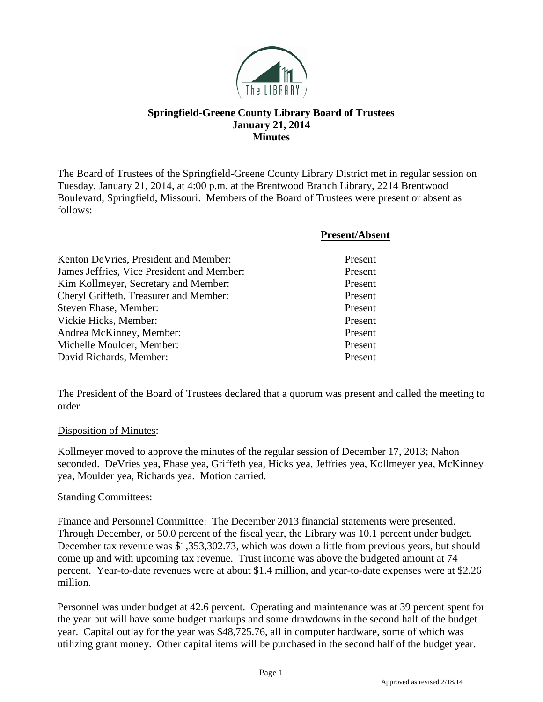

## **Springfield-Greene County Library Board of Trustees January 21, 2014 Minutes**

The Board of Trustees of the Springfield-Greene County Library District met in regular session on Tuesday, January 21, 2014, at 4:00 p.m. at the Brentwood Branch Library, 2214 Brentwood Boulevard, Springfield, Missouri. Members of the Board of Trustees were present or absent as follows:

**Present/Absent**

| Kenton DeVries, President and Member:      | Present |
|--------------------------------------------|---------|
| James Jeffries, Vice President and Member: | Present |
| Kim Kollmeyer, Secretary and Member:       | Present |
| Cheryl Griffeth, Treasurer and Member:     | Present |
| Steven Ehase, Member:                      | Present |
| Vickie Hicks, Member:                      | Present |
| Andrea McKinney, Member:                   | Present |
| Michelle Moulder, Member:                  | Present |
| David Richards, Member:                    | Present |

The President of the Board of Trustees declared that a quorum was present and called the meeting to order.

## Disposition of Minutes:

Kollmeyer moved to approve the minutes of the regular session of December 17, 2013; Nahon seconded. DeVries yea, Ehase yea, Griffeth yea, Hicks yea, Jeffries yea, Kollmeyer yea, McKinney yea, Moulder yea, Richards yea. Motion carried.

## Standing Committees:

Finance and Personnel Committee: The December 2013 financial statements were presented. Through December, or 50.0 percent of the fiscal year, the Library was 10.1 percent under budget. December tax revenue was \$1,353,302.73, which was down a little from previous years, but should come up and with upcoming tax revenue. Trust income was above the budgeted amount at 74 percent. Year-to-date revenues were at about \$1.4 million, and year-to-date expenses were at \$2.26 million.

Personnel was under budget at 42.6 percent. Operating and maintenance was at 39 percent spent for the year but will have some budget markups and some drawdowns in the second half of the budget year. Capital outlay for the year was \$48,725.76, all in computer hardware, some of which was utilizing grant money. Other capital items will be purchased in the second half of the budget year.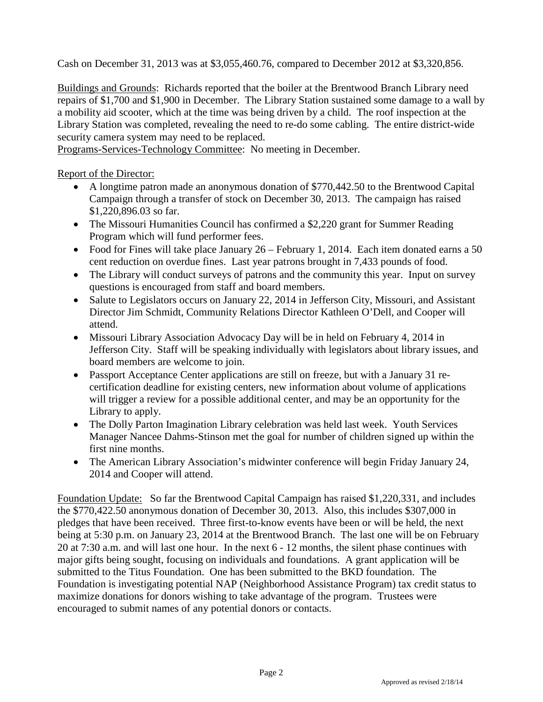Cash on December 31, 2013 was at \$3,055,460.76, compared to December 2012 at \$3,320,856.

Buildings and Grounds: Richards reported that the boiler at the Brentwood Branch Library need repairs of \$1,700 and \$1,900 in December. The Library Station sustained some damage to a wall by a mobility aid scooter, which at the time was being driven by a child. The roof inspection at the Library Station was completed, revealing the need to re-do some cabling. The entire district-wide security camera system may need to be replaced.

Programs-Services-Technology Committee: No meeting in December.

Report of the Director:

- A longtime patron made an anonymous donation of \$770,442.50 to the Brentwood Capital Campaign through a transfer of stock on December 30, 2013. The campaign has raised \$1,220,896.03 so far.
- The Missouri Humanities Council has confirmed a \$2,220 grant for Summer Reading Program which will fund performer fees.
- Food for Fines will take place January 26 February 1, 2014. Each item donated earns a 50 cent reduction on overdue fines. Last year patrons brought in 7,433 pounds of food.
- The Library will conduct surveys of patrons and the community this year. Input on survey questions is encouraged from staff and board members.
- Salute to Legislators occurs on January 22, 2014 in Jefferson City, Missouri, and Assistant Director Jim Schmidt, Community Relations Director Kathleen O'Dell, and Cooper will attend.
- Missouri Library Association Advocacy Day will be in held on February 4, 2014 in Jefferson City. Staff will be speaking individually with legislators about library issues, and board members are welcome to join.
- Passport Acceptance Center applications are still on freeze, but with a January 31 recertification deadline for existing centers, new information about volume of applications will trigger a review for a possible additional center, and may be an opportunity for the Library to apply.
- The Dolly Parton Imagination Library celebration was held last week. Youth Services Manager Nancee Dahms-Stinson met the goal for number of children signed up within the first nine months.
- The American Library Association's midwinter conference will begin Friday January 24, 2014 and Cooper will attend.

Foundation Update: So far the Brentwood Capital Campaign has raised \$1,220,331, and includes the \$770,422.50 anonymous donation of December 30, 2013. Also, this includes \$307,000 in pledges that have been received. Three first-to-know events have been or will be held, the next being at 5:30 p.m. on January 23, 2014 at the Brentwood Branch. The last one will be on February 20 at 7:30 a.m. and will last one hour. In the next 6 - 12 months, the silent phase continues with major gifts being sought, focusing on individuals and foundations. A grant application will be submitted to the Titus Foundation. One has been submitted to the BKD foundation. The Foundation is investigating potential NAP (Neighborhood Assistance Program) tax credit status to maximize donations for donors wishing to take advantage of the program. Trustees were encouraged to submit names of any potential donors or contacts.